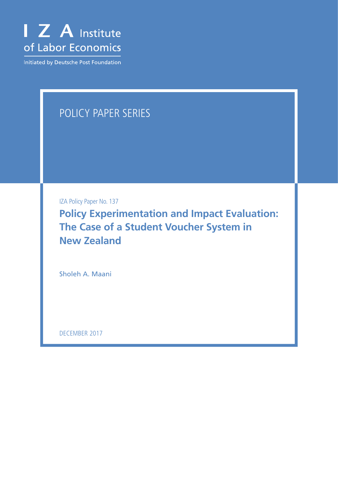

Initiated by Deutsche Post Foundation

## POLICY PAPER SERIES

IZA Policy Paper No. 137

**Policy Experimentation and Impact Evaluation: The Case of a Student Voucher System in New Zealand**

Sholeh A. Maani

DECEMBER 2017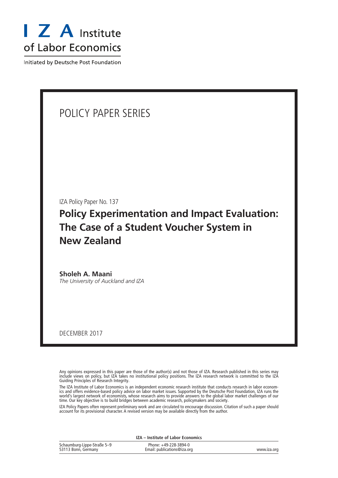

Initiated by Deutsche Post Foundation

## POLICY PAPER SERIES

IZA Policy Paper No. 137

**Policy Experimentation and Impact Evaluation: The Case of a Student Voucher System in New Zealand**

**Sholeh A. Maani** *The University of Auckland and IZA*

DECEMBER 2017

Any opinions expressed in this paper are those of the author(s) and not those of IZA. Research published in this series may include views on policy, but IZA takes no institutional policy positions. The IZA research network is committed to the IZA Guiding Principles of Research Integrity.

The IZA Institute of Labor Economics is an independent economic research institute that conducts research in labor economics and offers evidence-based policy advice on labor market issues. Supported by the Deutsche Post Foundation, IZA runs the world's largest network of economists, whose research aims to provide answers to the global labor market challenges of our time. Our key objective is to build bridges between academic research, policymakers and society.

IZA Policy Papers often represent preliminary work and are circulated to encourage discussion. Citation of such a paper should account for its provisional character. A revised version may be available directly from the author.

**IZA – Institute of Labor Economics**

| Schaumburg-Lippe-Straße 5-9 | Phone: +49-228-3894-0       |             |
|-----------------------------|-----------------------------|-------------|
| 53113 Bonn, Germany         | Email: publications@iza.org | www.iza.org |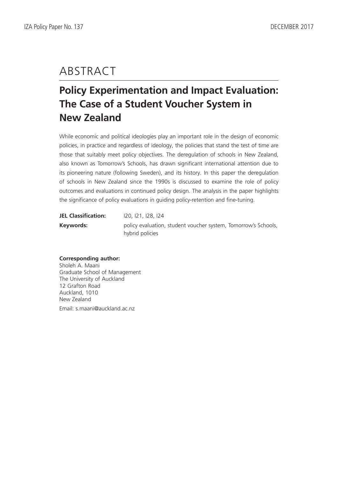# ABSTRACT

## **Policy Experimentation and Impact Evaluation: The Case of a Student Voucher System in New Zealand**

While economic and political ideologies play an important role in the design of economic policies, in practice and regardless of ideology, the policies that stand the test of time are those that suitably meet policy objectives. The deregulation of schools in New Zealand, also known as Tomorrow's Schools, has drawn significant international attention due to its pioneering nature (following Sweden), and its history. In this paper the deregulation of schools in New Zealand since the 1990s is discussed to examine the role of policy outcomes and evaluations in continued policy design. The analysis in the paper highlights the significance of policy evaluations in guiding policy-retention and fine-tuning.

| <b>JEL Classification:</b> | 120, 121, 128, 124                                                                |
|----------------------------|-----------------------------------------------------------------------------------|
| Keywords:                  | policy evaluation, student voucher system, Tomorrow's Schools,<br>hybrid policies |

## **Corresponding author:**

Sholeh A. Maani Graduate School of Management The University of Auckland 12 Grafton Road Auckland, 1010 New Zealand Email: s.maani@auckland.ac.nz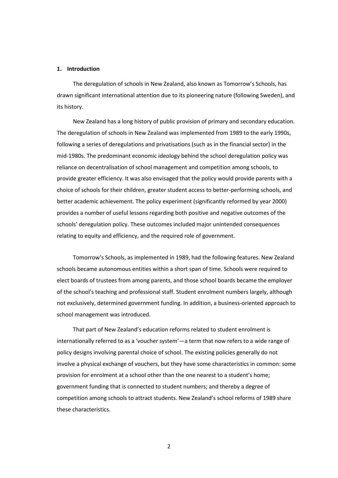### **1. Introduction**

The deregulation of schools in New Zealand, also known as Tomorrow's Schools, has drawn significant international attention due to its pioneering nature (following Sweden), and its history.

New Zealand has a long history of public provision of primary and secondary education. The deregulation of schools in New Zealand was implemented from 1989 to the early 1990s, following a series of deregulations and privatisations (such as in the financial sector) in the mid-1980s. The predominant economic ideology behind the school deregulation policy was reliance on decentralisation of school management and competition among schools, to provide greater efficiency. It was also envisaged that the policy would provide parents with a choice of schools for their children, greater student access to better-performing schools, and better academic achievement. The policy experiment (significantly reformed by year 2000) provides a number of useful lessons regarding both positive and negative outcomes of the schools' deregulation policy. These outcomes included major unintended consequences relating to equity and efficiency, and the required role of government.

Tomorrow's Schools, as implemented in 1989, had the following features. New Zealand schools became autonomous entities within a short span of time. Schools were required to elect boards of trustees from among parents, and those school boards became the employer of the school's teaching and professional staff. Student enrolment numbers largely, although not exclusively, determined government funding. In addition, a business-oriented approach to school management was introduced.

That part of New Zealand's education reforms related to student enrolment is internationally referred to as a 'voucher system'—a term that now refers to a wide range of policy designs involving parental choice of school. The existing policies generally do not involve a physical exchange of vouchers, but they have some characteristics in common: some provision for enrolment at a school other than the one nearest to a student's home; government funding that is connected to student numbers; and thereby a degree of competition among schools to attract students. New Zealand's school reforms of 1989 share these characteristics.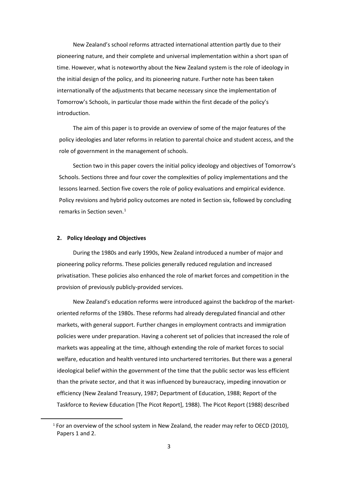New Zealand's school reforms attracted international attention partly due to their pioneering nature, and their complete and universal implementation within a short span of time. However, what is noteworthy about the New Zealand system is the role of ideology in the initial design of the policy, and its pioneering nature. Further note has been taken internationally of the adjustments that became necessary since the implementation of Tomorrow's Schools, in particular those made within the first decade of the policy's introduction.

The aim of this paper is to provide an overview of some of the major features of the policy ideologies and later reforms in relation to parental choice and student access, and the role of government in the management of schools.

Section two in this paper covers the initial policy ideology and objectives of Tomorrow's Schools. Sections three and four cover the complexities of policy implementations and the lessons learned. Section five covers the role of policy evaluations and empirical evidence. Policy revisions and hybrid policy outcomes are noted in Section six, followed by concluding remarks in Section seven. [1](#page-4-0)

## **2. Policy Ideology and Objectives**

During the 1980s and early 1990s, New Zealand introduced a number of major and pioneering policy reforms. These policies generally reduced regulation and increased privatisation. These policies also enhanced the role of market forces and competition in the provision of previously publicly-provided services.

New Zealand's education reforms were introduced against the backdrop of the marketoriented reforms of the 1980s. These reforms had already deregulated financial and other markets, with general support. Further changes in employment contracts and immigration policies were under preparation. Having a coherent set of policies that increased the role of markets was appealing at the time, although extending the role of market forces to social welfare, education and health ventured into unchartered territories. But there was a general ideological belief within the government of the time that the public sector was less efficient than the private sector, and that it was influenced by bureaucracy, impeding innovation or efficiency (New Zealand Treasury, 1987; Department of Education, 1988; Report of the Taskforce to Review Education [The Picot Report], 1988). The Picot Report (1988) described

<span id="page-4-0"></span><sup>&</sup>lt;sup>1</sup> For an overview of the school system in New Zealand, the reader may refer to OECD (2010), Papers 1 and 2.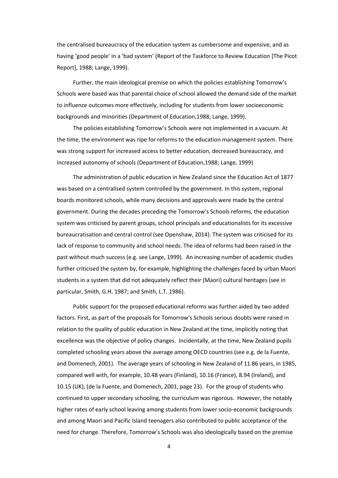the centralised bureaucracy of the education system as cumbersome and expensive, and as having 'good people' in a 'bad system' (Report of the Taskforce to Review Education [The Picot Report], 1988; Lange, 1999).

Further, the main ideological premise on which the policies establishing Tomorrow's Schools were based was that parental choice of school allowed the demand side of the market to influence outcomes more effectively, including for students from lower socioeconomic backgrounds and minorities (Department of Education,1988; Lange, 1999).

The policies establishing Tomorrow's Schools were not implemented in a vacuum. At the time, the environment was ripe for reforms to the education management system. There was strong support for increased access to better education, decreased bureaucracy, and increased autonomy of schools (Department of Education,1988; Lange, 1999)

The administration of public education in New Zealand since the Education Act of 1877 was based on a centralised system controlled by the government. In this system, regional boards monitored schools, while many decisions and approvals were made by the central government. During the decades preceding the Tomorrow's Schools reforms, the education system was criticised by parent groups, school principals and educationalists for its excessive bureaucratisation and central control (see Openshaw, 2014). The system was criticised for its lack of response to community and school needs. The idea of reforms had been raised in the past without much success (e.g. see Lange, 1999). An increasing number of academic studies further criticised the system by, for example, highlighting the challenges faced by urban Maori students in a system that did not adequately reflect their (Maori) cultural heritages (see in particular, Smith, G.H. 1987; and Smith, L.T. 1986).

Public support for the proposed educational reforms was further aided by two added factors. First, as part of the proposals for Tomorrow's Schools serious doubts were raised in relation to the quality of public education in New Zealand at the time, implicitly noting that excellence was the objective of policy changes. Incidentally, at the time, New Zealand pupils completed schooling years above the average among OECD countries (see e.g. de la Fuente, and Domenech, 2001). The average years of schooling in New Zealand of 11.86 years, in 1985, compared well with, for example, 10.48 years (Finland), 10.16 (France), 8.94 (Ireland), and 10.15 (UK), (de la Fuente, and Domenech, 2001, page 23). For the group of students who continued to upper secondary schooling, the curriculum was rigorous. However, the notably higher rates of early school leaving among students from lower socio-economic backgrounds and among Maori and Pacific Island teenagers also contributed to public acceptance of the need for change. Therefore, Tomorrow's Schools was also ideologically based on the premise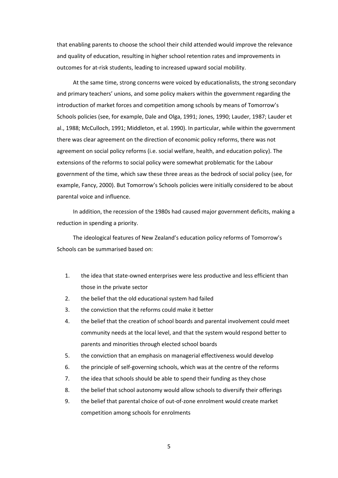that enabling parents to choose the school their child attended would improve the relevance and quality of education, resulting in higher school retention rates and improvements in outcomes for at-risk students, leading to increased upward social mobility.

At the same time, strong concerns were voiced by educationalists, the strong secondary and primary teachers' unions, and some policy makers within the government regarding the introduction of market forces and competition among schools by means of Tomorrow's Schools policies (see, for example, Dale and Olga, 1991; Jones, 1990; Lauder, 1987; Lauder et al., 1988; McCulloch, 1991; Middleton, et al. 1990). In particular, while within the government there was clear agreement on the direction of economic policy reforms, there was not agreement on social policy reforms (i.e. social welfare, health, and education policy). The extensions of the reforms to social policy were somewhat problematic for the Labour government of the time, which saw these three areas as the bedrock of social policy (see, for example, Fancy, 2000). But Tomorrow's Schools policies were initially considered to be about parental voice and influence.

In addition, the recession of the 1980s had caused major government deficits, making a reduction in spending a priority.

The ideological features of New Zealand's education policy reforms of Tomorrow's Schools can be summarised based on:

- 1. the idea that state-owned enterprises were less productive and less efficient than those in the private sector
- 2. the belief that the old educational system had failed
- 3. the conviction that the reforms could make it better
- 4. the belief that the creation of school boards and parental involvement could meet community needs at the local level, and that the system would respond better to parents and minorities through elected school boards
- 5. the conviction that an emphasis on managerial effectiveness would develop
- 6. the principle of self-governing schools, which was at the centre of the reforms
- 7. the idea that schools should be able to spend their funding as they chose
- 8. the belief that school autonomy would allow schools to diversify their offerings
- 9. the belief that parental choice of out-of-zone enrolment would create market competition among schools for enrolments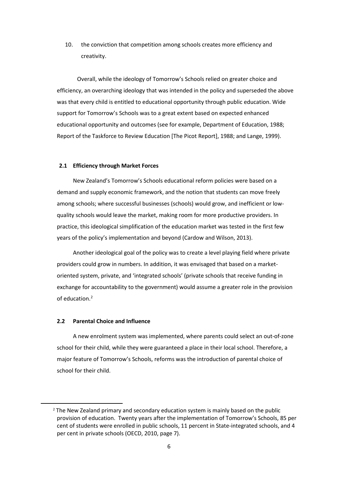10. the conviction that competition among schools creates more efficiency and creativity.

Overall, while the ideology of Tomorrow's Schools relied on greater choice and efficiency, an overarching ideology that was intended in the policy and superseded the above was that every child is entitled to educational opportunity through public education. Wide support for Tomorrow's Schools was to a great extent based on expected enhanced educational opportunity and outcomes (see for example, Department of Education, 1988; Report of the Taskforce to Review Education [The Picot Report], 1988; and Lange, 1999).

## **2.1 Efficiency through Market Forces**

New Zealand's Tomorrow's Schools educational reform policies were based on a demand and supply economic framework, and the notion that students can move freely among schools; where successful businesses (schools) would grow, and inefficient or lowquality schools would leave the market, making room for more productive providers. In practice, this ideological simplification of the education market was tested in the first few years of the policy's implementation and beyond (Cardow and Wilson, 2013).

Another ideological goal of the policy was to create a level playing field where private providers could grow in numbers. In addition, it was envisaged that based on a marketoriented system, private, and 'integrated schools' (private schools that receive funding in exchange for accountability to the government) would assume a greater role in the provision of education. [2](#page-7-0)

## **2.2 Parental Choice and Influence**

A new enrolment system was implemented, where parents could select an out-of-zone school for their child, while they were guaranteed a place in their local school. Therefore, a major feature of Tomorrow's Schools, reforms was the introduction of parental choice of school for their child.

<span id="page-7-0"></span><sup>&</sup>lt;sup>2</sup> The New Zealand primary and secondary education system is mainly based on the public provision of education. Twenty years after the implementation of Tomorrow's Schools, 85 per cent of students were enrolled in public schools, 11 percent in State-integrated schools, and 4 per cent in private schools (OECD, 2010, page 7).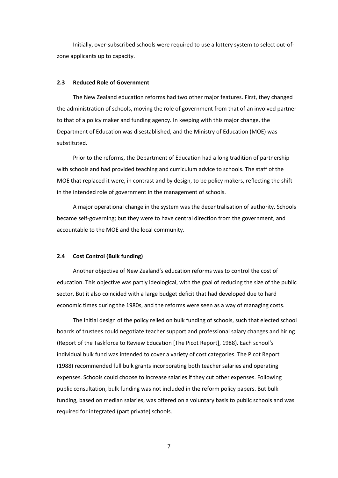Initially, over-subscribed schools were required to use a lottery system to select out-ofzone applicants up to capacity.

## **2.3 Reduced Role of Government**

The New Zealand education reforms had two other major features. First, they changed the administration of schools, moving the role of government from that of an involved partner to that of a policy maker and funding agency. In keeping with this major change, the Department of Education was disestablished, and the Ministry of Education (MOE) was substituted.

Prior to the reforms, the Department of Education had a long tradition of partnership with schools and had provided teaching and curriculum advice to schools. The staff of the MOE that replaced it were, in contrast and by design, to be policy makers, reflecting the shift in the intended role of government in the management of schools.

A major operational change in the system was the decentralisation of authority. Schools became self-governing; but they were to have central direction from the government, and accountable to the MOE and the local community.

#### **2.4 Cost Control (Bulk funding)**

Another objective of New Zealand's education reforms was to control the cost of education. This objective was partly ideological, with the goal of reducing the size of the public sector. But it also coincided with a large budget deficit that had developed due to hard economic times during the 1980s, and the reforms were seen as a way of managing costs.

The initial design of the policy relied on bulk funding of schools, such that elected school boards of trustees could negotiate teacher support and professional salary changes and hiring (Report of the Taskforce to Review Education [The Picot Report], 1988). Each school's individual bulk fund was intended to cover a variety of cost categories. The Picot Report (1988) recommended full bulk grants incorporating both teacher salaries and operating expenses. Schools could choose to increase salaries if they cut other expenses. Following public consultation, bulk funding was not included in the reform policy papers. But bulk funding, based on median salaries, was offered on a voluntary basis to public schools and was required for integrated (part private) schools.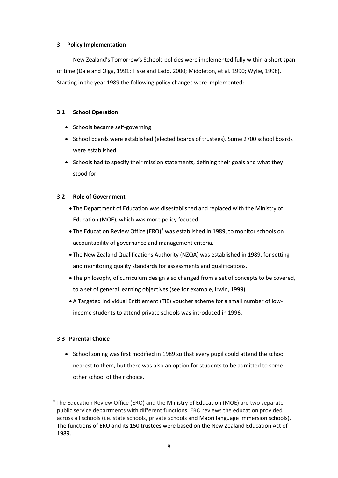## **3. Policy Implementation**

New Zealand's Tomorrow's Schools policies were implemented fully within a short span of time (Dale and Olga, 1991; Fiske and Ladd, 2000; Middleton, et al. 1990; Wylie, 1998). Starting in the year 1989 the following policy changes were implemented:

## **3.1 School Operation**

- Schools became self-governing.
- School boards were established (elected boards of trustees). Some 2700 school boards were established.
- Schools had to specify their mission statements, defining their goals and what they stood for.

## **3.2 Role of Government**

- The Department of Education was disestablished and replaced with the Ministry of Education (MOE), which was more policy focused.
- The Education Review Office (ERO)<sup>[3](#page-9-0)</sup> was established in 1989, to monitor schools on accountability of governance and management criteria.
- The New Zealand Qualifications Authority (NZQA) was established in 1989, for setting and monitoring quality standards for assessments and qualifications.
- The philosophy of curriculum design also changed from a set of concepts to be covered, to a set of general learning objectives (see for example, Irwin, 1999).
- A Targeted Individual Entitlement (TIE) voucher scheme for a small number of lowincome students to attend private schools was introduced in 1996.

## **3.3 Parental Choice**

• School zoning was first modified in 1989 so that every pupil could attend the school nearest to them, but there was also an option for students to be admitted to some other school of their choice.

<span id="page-9-0"></span><sup>&</sup>lt;sup>3</sup> The Education Review Office (ERO) and the Ministry of Education (MOE) are two separate public service departments with different functions. ERO reviews the education provided across all schools (i.e. state schools, private schools and Maori language immersion schools). The functions of ERO and its 150 trustees were based on the New Zealand Education Act of 1989.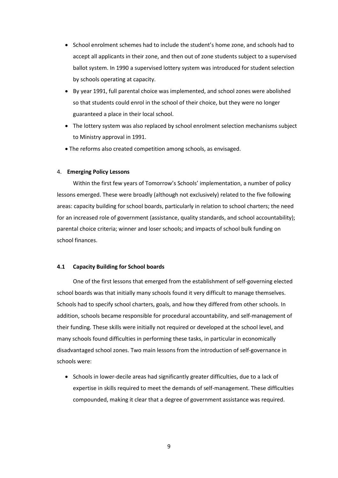- School enrolment schemes had to include the student's home zone, and schools had to accept all applicants in their zone, and then out of zone students subject to a supervised ballot system. In 1990 a supervised lottery system was introduced for student selection by schools operating at capacity.
- By year 1991, full parental choice was implemented, and school zones were abolished so that students could enrol in the school of their choice, but they were no longer guaranteed a place in their local school.
- The lottery system was also replaced by school enrolment selection mechanisms subject to Ministry approval in 1991.
- The reforms also created competition among schools, as envisaged.

## 4. **Emerging Policy Lessons**

Within the first few years of Tomorrow's Schools' implementation, a number of policy lessons emerged. These were broadly (although not exclusively) related to the five following areas: capacity building for school boards, particularly in relation to school charters; the need for an increased role of government (assistance, quality standards, and school accountability); parental choice criteria; winner and loser schools; and impacts of school bulk funding on school finances.

## **4.1 Capacity Building for School boards**

One of the first lessons that emerged from the establishment of self-governing elected school boards was that initially many schools found it very difficult to manage themselves. Schools had to specify school charters, goals, and how they differed from other schools. In addition, schools became responsible for procedural accountability, and self-management of their funding. These skills were initially not required or developed at the school level, and many schools found difficulties in performing these tasks, in particular in economically disadvantaged school zones. Two main lessons from the introduction of self-governance in schools were:

• Schools in lower-decile areas had significantly greater difficulties, due to a lack of expertise in skills required to meet the demands of self-management. These difficulties compounded, making it clear that a degree of government assistance was required.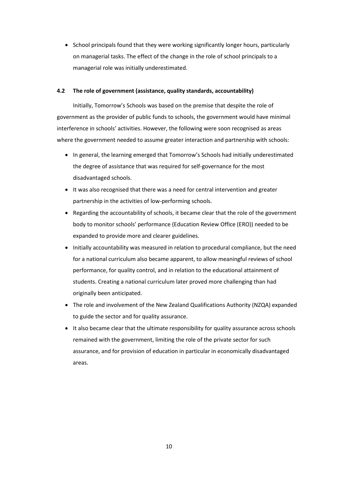• School principals found that they were working significantly longer hours, particularly on managerial tasks. The effect of the change in the role of school principals to a managerial role was initially underestimated.

## **4.2 The role of government (assistance, quality standards, accountability)**

Initially, Tomorrow's Schools was based on the premise that despite the role of government as the provider of public funds to schools, the government would have minimal interference in schools' activities. However, the following were soon recognised as areas where the government needed to assume greater interaction and partnership with schools:

- In general, the learning emerged that Tomorrow's Schools had initially underestimated the degree of assistance that was required for self-governance for the most disadvantaged schools.
- It was also recognised that there was a need for central intervention and greater partnership in the activities of low-performing schools.
- Regarding the accountability of schools, it became clear that the role of the government body to monitor schools' performance (Education Review Office (ERO)) needed to be expanded to provide more and clearer guidelines.
- Initially accountability was measured in relation to procedural compliance, but the need for a national curriculum also became apparent, to allow meaningful reviews of school performance, for quality control, and in relation to the educational attainment of students. Creating a national curriculum later proved more challenging than had originally been anticipated.
- The role and involvement of the New Zealand Qualifications Authority (NZQA) expanded to guide the sector and for quality assurance.
- It also became clear that the ultimate responsibility for quality assurance across schools remained with the government, limiting the role of the private sector for such assurance, and for provision of education in particular in economically disadvantaged areas.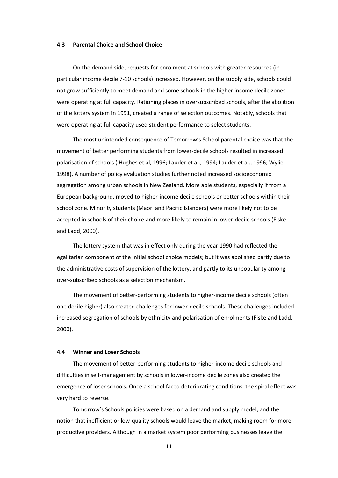### **4.3 Parental Choice and School Choice**

On the demand side, requests for enrolment at schools with greater resources (in particular income decile 7-10 schools) increased. However, on the supply side, schools could not grow sufficiently to meet demand and some schools in the higher income decile zones were operating at full capacity. Rationing places in oversubscribed schools, after the abolition of the lottery system in 1991, created a range of selection outcomes. Notably, schools that were operating at full capacity used student performance to select students.

The most unintended consequence of Tomorrow's School parental choice was that the movement of better performing students from lower-decile schools resulted in increased polarisation of schools ( Hughes et al, 1996; Lauder et al., 1994; Lauder et al., 1996; Wylie, 1998). A number of policy evaluation studies further noted increased socioeconomic segregation among urban schools in New Zealand. More able students, especially if from a European background, moved to higher-income decile schools or better schools within their school zone. Minority students (Maori and Pacific Islanders) were more likely not to be accepted in schools of their choice and more likely to remain in lower-decile schools (Fiske and Ladd, 2000).

The lottery system that was in effect only during the year 1990 had reflected the egalitarian component of the initial school choice models; but it was abolished partly due to the administrative costs of supervision of the lottery, and partly to its unpopularity among over-subscribed schools as a selection mechanism.

The movement of better-performing students to higher-income decile schools (often one decile higher) also created challenges for lower-decile schools. These challenges included increased segregation of schools by ethnicity and polarisation of enrolments (Fiske and Ladd, 2000).

### **4.4 Winner and Loser Schools**

The movement of better-performing students to higher-income decile schools and difficulties in self-management by schools in lower-income decile zones also created the emergence of loser schools. Once a school faced deteriorating conditions, the spiral effect was very hard to reverse.

Tomorrow's Schools policies were based on a demand and supply model, and the notion that inefficient or low-quality schools would leave the market, making room for more productive providers. Although in a market system poor performing businesses leave the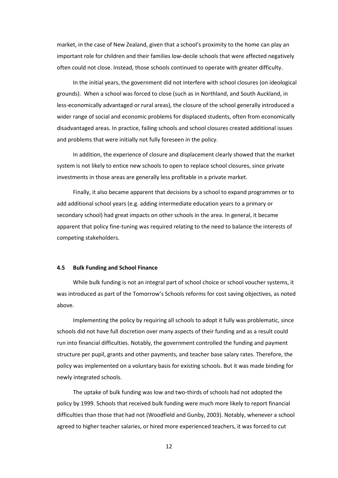market, in the case of New Zealand, given that a school's proximity to the home can play an important role for children and their families low-decile schools that were affected negatively often could not close. Instead, those schools continued to operate with greater difficulty.

In the initial years, the government did not interfere with school closures (on ideological grounds). When a school was forced to close (such as in Northland, and South Auckland, in less-economically advantaged or rural areas), the closure of the school generally introduced a wider range of social and economic problems for displaced students, often from economically disadvantaged areas. In practice, failing schools and school closures created additional issues and problems that were initially not fully foreseen in the policy.

In addition, the experience of closure and displacement clearly showed that the market system is not likely to entice new schools to open to replace school closures, since private investments in those areas are generally less profitable in a private market.

Finally, it also became apparent that decisions by a school to expand programmes or to add additional school years (e.g. adding intermediate education years to a primary or secondary school) had great impacts on other schools in the area. In general, it became apparent that policy fine-tuning was required relating to the need to balance the interests of competing stakeholders.

#### **4.5 Bulk Funding and School Finance**

While bulk funding is not an integral part of school choice or school voucher systems, it was introduced as part of the Tomorrow's Schools reforms for cost saving objectives, as noted above.

Implementing the policy by requiring all schools to adopt it fully was problematic, since schools did not have full discretion over many aspects of their funding and as a result could run into financial difficulties. Notably, the government controlled the funding and payment structure per pupil, grants and other payments, and teacher base salary rates. Therefore, the policy was implemented on a voluntary basis for existing schools. But it was made binding for newly integrated schools.

The uptake of bulk funding was low and two-thirds of schools had not adopted the policy by 1999. Schools that received bulk funding were much more likely to report financial difficulties than those that had not (Woodfield and Gunby, 2003). Notably, whenever a school agreed to higher teacher salaries, or hired more experienced teachers, it was forced to cut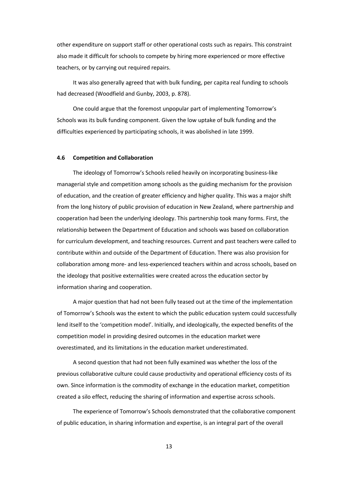other expenditure on support staff or other operational costs such as repairs. This constraint also made it difficult for schools to compete by hiring more experienced or more effective teachers, or by carrying out required repairs.

It was also generally agreed that with bulk funding, per capita real funding to schools had decreased (Woodfield and Gunby, 2003, p. 878).

One could argue that the foremost unpopular part of implementing Tomorrow's Schools was its bulk funding component. Given the low uptake of bulk funding and the difficulties experienced by participating schools, it was abolished in late 1999.

## **4.6 Competition and Collaboration**

The ideology of Tomorrow's Schools relied heavily on incorporating business-like managerial style and competition among schools as the guiding mechanism for the provision of education, and the creation of greater efficiency and higher quality. This was a major shift from the long history of public provision of education in New Zealand, where partnership and cooperation had been the underlying ideology. This partnership took many forms. First, the relationship between the Department of Education and schools was based on collaboration for curriculum development, and teaching resources. Current and past teachers were called to contribute within and outside of the Department of Education. There was also provision for collaboration among more- and less-experienced teachers within and across schools, based on the ideology that positive externalities were created across the education sector by information sharing and cooperation.

A major question that had not been fully teased out at the time of the implementation of Tomorrow's Schools was the extent to which the public education system could successfully lend itself to the 'competition model'. Initially, and ideologically, the expected benefits of the competition model in providing desired outcomes in the education market were overestimated, and its limitations in the education market underestimated.

A second question that had not been fully examined was whether the loss of the previous collaborative culture could cause productivity and operational efficiency costs of its own. Since information is the commodity of exchange in the education market, competition created a silo effect, reducing the sharing of information and expertise across schools.

The experience of Tomorrow's Schools demonstrated that the collaborative component of public education, in sharing information and expertise, is an integral part of the overall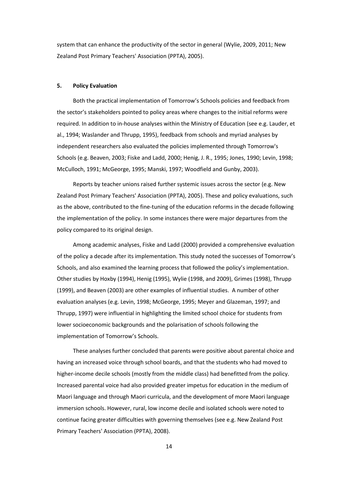system that can enhance the productivity of the sector in general (Wylie, 2009, 2011; New Zealand Post Primary Teachers' Association (PPTA), 2005).

## **5. Policy Evaluation**

Both the practical implementation of Tomorrow's Schools policies and feedback from the sector's stakeholders pointed to policy areas where changes to the initial reforms were required. In addition to in-house analyses within the Ministry of Education (see e.g. Lauder, et al., 1994; Waslander and Thrupp, 1995), feedback from schools and myriad analyses by independent researchers also evaluated the policies implemented through Tomorrow's Schools (e.g. Beaven, 2003; Fiske and Ladd, 2000; Henig, J. R., 1995; Jones, 1990; Levin, 1998; McCulloch, 1991; McGeorge, 1995; Manski, 1997; Woodfield and Gunby, 2003).

Reports by teacher unions raised further systemic issues across the sector (e.g. New Zealand Post Primary Teachers' Association (PPTA), 2005). These and policy evaluations, such as the above, contributed to the fine-tuning of the education reforms in the decade following the implementation of the policy. In some instances there were major departures from the policy compared to its original design.

Among academic analyses, Fiske and Ladd (2000) provided a comprehensive evaluation of the policy a decade after its implementation. This study noted the successes of Tomorrow's Schools, and also examined the learning process that followed the policy's implementation. Other studies by Hoxby (1994), Henig (1995), Wylie (1998, and 2009), Grimes (1998), Thrupp (1999), and Beaven (2003) are other examples of influential studies. A number of other evaluation analyses (e.g. Levin, 1998; McGeorge, 1995; Meyer and Glazeman, 1997; and Thrupp, 1997) were influential in highlighting the limited school choice for students from lower socioeconomic backgrounds and the polarisation of schools following the implementation of Tomorrow's Schools.

These analyses further concluded that parents were positive about parental choice and having an increased voice through school boards, and that the students who had moved to higher-income decile schools (mostly from the middle class) had benefitted from the policy. Increased parental voice had also provided greater impetus for education in the medium of Maori language and through Maori curricula, and the development of more Maori language immersion schools. However, rural, low income decile and isolated schools were noted to continue facing greater difficulties with governing themselves (see e.g. New Zealand Post Primary Teachers' Association (PPTA), 2008).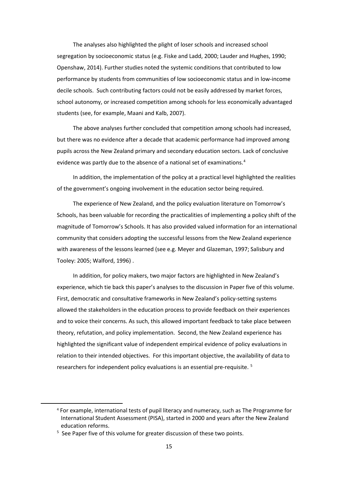The analyses also highlighted the plight of loser schools and increased school segregation by socioeconomic status (e.g. Fiske and Ladd, 2000; Lauder and Hughes, 1990; Openshaw, 2014). Further studies noted the systemic conditions that contributed to low performance by students from communities of low socioeconomic status and in low-income decile schools. Such contributing factors could not be easily addressed by market forces, school autonomy, or increased competition among schools for less economically advantaged students (see, for example, Maani and Kalb, 2007).

The above analyses further concluded that competition among schools had increased, but there was no evidence after a decade that academic performance had improved among pupils across the New Zealand primary and secondary education sectors. Lack of conclusive evidence was partly due to the absence of a national set of examinations.<sup>[4](#page-16-0)</sup>

In addition, the implementation of the policy at a practical level highlighted the realities of the government's ongoing involvement in the education sector being required.

The experience of New Zealand, and the policy evaluation literature on Tomorrow's Schools, has been valuable for recording the practicalities of implementing a policy shift of the magnitude of Tomorrow's Schools. It has also provided valued information for an international community that considers adopting the successful lessons from the New Zealand experience with awareness of the lessons learned (see e.g. Meyer and Glazeman, 1997; Salisbury and Tooley: 2005; Walford, 1996) .

In addition, for policy makers, two major factors are highlighted in New Zealand's experience, which tie back this paper's analyses to the discussion in Paper five of this volume. First, democratic and consultative frameworks in New Zealand's policy-setting systems allowed the stakeholders in the education process to provide feedback on their experiences and to voice their concerns. As such, this allowed important feedback to take place between theory, refutation, and policy implementation. Second, the New Zealand experience has highlighted the significant value of independent empirical evidence of policy evaluations in relation to their intended objectives. For this important objective, the availability of data to researchers for independent policy evaluations is an essential pre-requisite. [5](#page-16-1)

<span id="page-16-0"></span> <sup>4</sup> For example, international tests of pupil literacy and numeracy, such as The Programme for International Student Assessment (PISA), started in 2000 and years after the New Zealand education reforms.

<span id="page-16-1"></span><sup>&</sup>lt;sup>5</sup> See Paper five of this volume for greater discussion of these two points.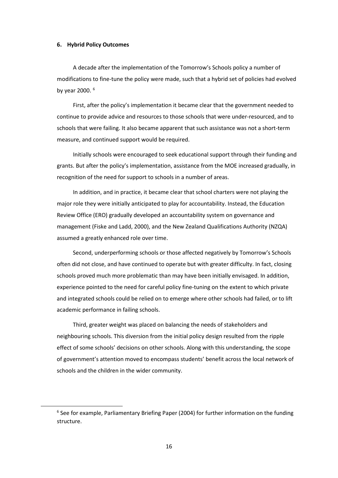## **6. Hybrid Policy Outcomes**

A decade after the implementation of the Tomorrow's Schools policy a number of modifications to fine-tune the policy were made, such that a hybrid set of policies had evolved by year 2000. [6](#page-17-0)

First, after the policy's implementation it became clear that the government needed to continue to provide advice and resources to those schools that were under-resourced, and to schools that were failing. It also became apparent that such assistance was not a short-term measure, and continued support would be required.

Initially schools were encouraged to seek educational support through their funding and grants. But after the policy's implementation, assistance from the MOE increased gradually, in recognition of the need for support to schools in a number of areas.

In addition, and in practice, it became clear that school charters were not playing the major role they were initially anticipated to play for accountability. Instead, the Education Review Office (ERO) gradually developed an accountability system on governance and management (Fiske and Ladd, 2000), and the New Zealand Qualifications Authority (NZQA) assumed a greatly enhanced role over time.

Second, underperforming schools or those affected negatively by Tomorrow's Schools often did not close, and have continued to operate but with greater difficulty. In fact, closing schools proved much more problematic than may have been initially envisaged. In addition, experience pointed to the need for careful policy fine-tuning on the extent to which private and integrated schools could be relied on to emerge where other schools had failed, or to lift academic performance in failing schools.

Third, greater weight was placed on balancing the needs of stakeholders and neighbouring schools. This diversion from the initial policy design resulted from the ripple effect of some schools' decisions on other schools. Along with this understanding, the scope of government's attention moved to encompass students' benefit across the local network of schools and the children in the wider community.

<span id="page-17-0"></span><sup>&</sup>lt;sup>6</sup> See for example, Parliamentary Briefing Paper (2004) for further information on the funding structure.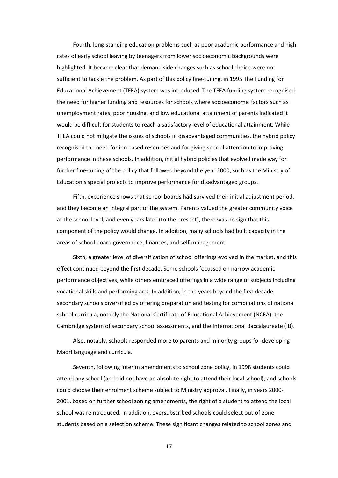Fourth, long-standing education problems such as poor academic performance and high rates of early school leaving by teenagers from lower socioeconomic backgrounds were highlighted. It became clear that demand side changes such as school choice were not sufficient to tackle the problem. As part of this policy fine-tuning, in 1995 The Funding for Educational Achievement (TFEA) system was introduced. The TFEA funding system recognised the need for higher funding and resources for schools where socioeconomic factors such as unemployment rates, poor housing, and low educational attainment of parents indicated it would be difficult for students to reach a satisfactory level of educational attainment. While TFEA could not mitigate the issues of schools in disadvantaged communities, the hybrid policy recognised the need for increased resources and for giving special attention to improving performance in these schools. In addition, initial hybrid policies that evolved made way for further fine-tuning of the policy that followed beyond the year 2000, such as the Ministry of Education's special projects to improve performance for disadvantaged groups.

Fifth, experience shows that school boards had survived their initial adjustment period, and they become an integral part of the system. Parents valued the greater community voice at the school level, and even years later (to the present), there was no sign that this component of the policy would change. In addition, many schools had built capacity in the areas of school board governance, finances, and self-management.

Sixth, a greater level of diversification of school offerings evolved in the market, and this effect continued beyond the first decade. Some schools focussed on narrow academic performance objectives, while others embraced offerings in a wide range of subjects including vocational skills and performing arts. In addition, in the years beyond the first decade, secondary schools diversified by offering preparation and testing for combinations of national school curricula, notably the National Certificate of Educational Achievement (NCEA), the Cambridge system of secondary school assessments, and the International Baccalaureate (IB).

Also, notably, schools responded more to parents and minority groups for developing Maori language and curricula.

Seventh, following interim amendments to school zone policy, in 1998 students could attend any school (and did not have an absolute right to attend their local school), and schools could choose their enrolment scheme subject to Ministry approval. Finally, in years 2000- 2001, based on further school zoning amendments, the right of a student to attend the local school was reintroduced. In addition, oversubscribed schools could select out-of-zone students based on a selection scheme. These significant changes related to school zones and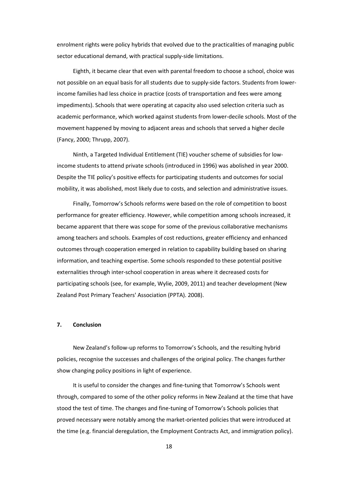enrolment rights were policy hybrids that evolved due to the practicalities of managing public sector educational demand, with practical supply-side limitations.

Eighth, it became clear that even with parental freedom to choose a school, choice was not possible on an equal basis for all students due to supply-side factors. Students from lowerincome families had less choice in practice (costs of transportation and fees were among impediments). Schools that were operating at capacity also used selection criteria such as academic performance, which worked against students from lower-decile schools. Most of the movement happened by moving to adjacent areas and schools that served a higher decile (Fancy, 2000; Thrupp, 2007).

Ninth, a Targeted Individual Entitlement (TIE) voucher scheme of subsidies for lowincome students to attend private schools (introduced in 1996) was abolished in year 2000. Despite the TIE policy's positive effects for participating students and outcomes for social mobility, it was abolished, most likely due to costs, and selection and administrative issues.

Finally, Tomorrow's Schools reforms were based on the role of competition to boost performance for greater efficiency. However, while competition among schools increased, it became apparent that there was scope for some of the previous collaborative mechanisms among teachers and schools. Examples of cost reductions, greater efficiency and enhanced outcomes through cooperation emerged in relation to capability building based on sharing information, and teaching expertise. Some schools responded to these potential positive externalities through inter-school cooperation in areas where it decreased costs for participating schools (see, for example, Wylie, 2009, 2011) and teacher development (New Zealand Post Primary Teachers' Association (PPTA). 2008).

## **7. Conclusion**

New Zealand's follow-up reforms to Tomorrow's Schools, and the resulting hybrid policies, recognise the successes and challenges of the original policy. The changes further show changing policy positions in light of experience.

It is useful to consider the changes and fine-tuning that Tomorrow's Schools went through, compared to some of the other policy reforms in New Zealand at the time that have stood the test of time. The changes and fine-tuning of Tomorrow's Schools policies that proved necessary were notably among the market-oriented policies that were introduced at the time (e.g. financial deregulation, the Employment Contracts Act, and immigration policy).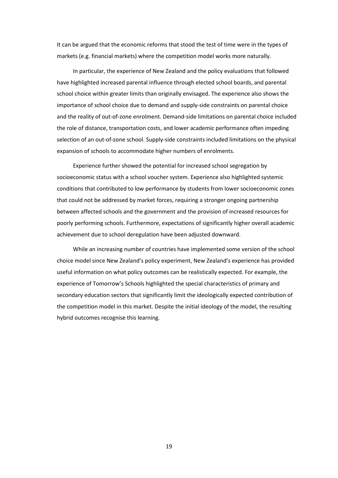It can be argued that the economic reforms that stood the test of time were in the types of markets (e.g. financial markets) where the competition model works more naturally.

In particular, the experience of New Zealand and the policy evaluations that followed have highlighted increased parental influence through elected school boards, and parental school choice within greater limits than originally envisaged. The experience also shows the importance of school choice due to demand and supply-side constraints on parental choice and the reality of out-of-zone enrolment. Demand-side limitations on parental choice included the role of distance, transportation costs, and lower academic performance often impeding selection of an out-of-zone school. Supply-side constraints included limitations on the physical expansion of schools to accommodate higher numbers of enrolments.

Experience further showed the potential for increased school segregation by socioeconomic status with a school voucher system. Experience also highlighted systemic conditions that contributed to low performance by students from lower socioeconomic zones that could not be addressed by market forces, requiring a stronger ongoing partnership between affected schools and the government and the provision of increased resources for poorly performing schools. Furthermore, expectations of significantly higher overall academic achievement due to school deregulation have been adjusted downward.

While an increasing number of countries have implemented some version of the school choice model since New Zealand's policy experiment, New Zealand's experience has provided useful information on what policy outcomes can be realistically expected. For example, the experience of Tomorrow's Schools highlighted the special characteristics of primary and secondary education sectors that significantly limit the ideologically expected contribution of the competition model in this market. Despite the initial ideology of the model, the resulting hybrid outcomes recognise this learning.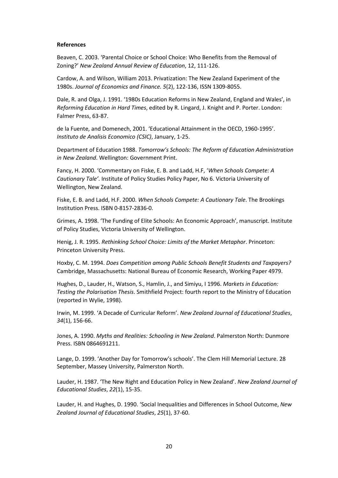## **References**

Beaven, C. 2003. 'Parental Choice or School Choice: Who Benefits from the Removal of Zoning?' *New Zealand Annual Review of Education*, 12, 111-126.

Cardow, A. and Wilson, William 2013. Privatization: The New Zealand Experiment of the 1980s. *Journal of Economics and Finance. 5*(2), 122-136, ISSN 1309-8055.

Dale, R. and Olga, J. 1991. '1980s Education Reforms in New Zealand, England and Wales', in *Reforming Education in Hard Times*, edited by R. Lingard, J. Knight and P. Porter. London: Falmer Press, 63-87.

de la Fuente, and Domenech, 2001. 'Educational Attainment in the OECD, 1960-1995'. *Instituto de Analisis Economico (CSIC)*, January, 1-25.

Department of Education 1988. *Tomorrow's Schools: The Reform of Education Administration in New Zealand*. Wellington: Government Print.

Fancy, H. 2000. 'Commentary on Fiske, E. B. and Ladd, H.F, '*When Schools Compete: A Cautionary Tale'*. Institute of Policy Studies Policy Paper, No 6. Victoria University of Wellington, New Zealand.

Fiske, E. B. and Ladd, H.F. 2000. *When Schools Compete: A Cautionary Tale*. The Brookings Institution Press. ISBN 0-8157-2836-0.

Grimes, A. 1998. 'The Funding of Elite Schools: An Economic Approach', manuscript. Institute of Policy Studies, Victoria University of Wellington.

Henig, J. R. 1995. *Rethinking School Choice: Limits of the Market Metaphor*. Princeton: Princeton University Press.

Hoxby, C. M. 1994. *Does Competition among Public Schools Benefit Students and Taxpayers?*  Cambridge, Massachusetts: National Bureau of Economic Research, Working Paper 4979.

Hughes, D., Lauder, H., Watson, S., Hamlin, J., and Simiyu, I 1996. *Markets in Education: Testing the Polarisation Thesis*. Smithfield Project: fourth report to the Ministry of Education (reported in Wylie, 1998).

Irwin, M. 1999. 'A Decade of Curricular Reform'. *New Zealand Journal of Educational Studies*, *34*(1), 156-66.

Jones, A. 1990. *Myths and Realities: Schooling in New Zealand*. Palmerston North: Dunmore Press. ISBN 0864691211.

Lange, D. 1999. 'Another Day for Tomorrow's schools'. The Clem Hill Memorial Lecture. 28 September, Massey University, Palmerston North.

Lauder, H. 1987. 'The New Right and Education Policy in New Zealand'. *New Zealand Journal of Educational Studies*, *22*(1), 15-35.

Lauder, H. and Hughes, D. 1990. 'Social Inequalities and Differences in School Outcome, *New Zealand Journal of Educational Studies*, *25*(1), 37-60.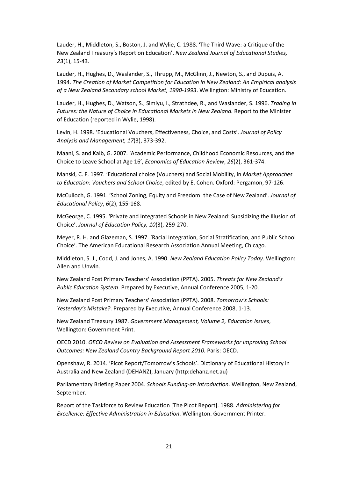Lauder, H., Middleton, S., Boston, J. and Wylie, C. 1988. 'The Third Wave: a Critique of the New Zealand Treasury's Report on Education'. *New Zealand Journal of Educational Studies, 23*(1), 15-43.

Lauder, H., Hughes, D., Waslander, S., Thrupp, M., McGlinn, J., Newton, S., and Dupuis, A. 1994. *The Creation of Market Competition for Education in New Zealand: An Empirical analysis of a New Zealand Secondary school Market, 1990-1993*. Wellington: Ministry of Education.

Lauder, H., Hughes, D., Watson, S., Simiyu, I., Strathdee, R., and Waslander, S. 1996. *Trading in Futures: the Nature of Choice in Educational Markets in New Zealand.* Report to the Minister of Education (reported in Wylie, 1998).

Levin, H. 1998. 'Educational Vouchers, Effectiveness, Choice, and Costs'. *Journal of Policy Analysis and Management, 17*(3), 373-392.

Maani, S. and Kalb, G. 2007. 'Academic Performance, Childhood Economic Resources, and the Choice to Leave School at Age 16', *Economics of Education Review*, *26*(2), 361-374.

Manski, C. F. 1997. 'Educational choice (Vouchers) and Social Mobility, in *Market Approaches to Education: Vouchers and School Choice*, edited by E. Cohen. Oxford: Pergamon, 97-126.

McCulloch, G. 1991. 'School Zoning, Equity and Freedom: the Case of New Zealand'. *Journal of Educational Policy*, *6*(2), 155-168.

McGeorge, C. 1995. 'Private and Integrated Schools in New Zealand: Subsidizing the Illusion of Choice'. *Journal of Education Policy, 10*(3), 259-270.

Meyer, R. H. and Glazeman, S. 1997. 'Racial Integration, Social Stratification, and Public School Choice'. The American Educational Research Association Annual Meeting, Chicago.

Middleton, S. J., Codd, J. and Jones, A. 1990. *New Zealand Education Policy Today*. Wellington: Allen and Unwin.

New Zealand Post Primary Teachers' Association (PPTA). 2005. *Threats for New Zealand's Public Education System*. Prepared by Executive, Annual Conference 2005, 1-20.

New Zealand Post Primary Teachers' Association (PPTA). 2008. *Tomorrow's Schools: Yesterday's Mistake?*. Prepared by Executive, Annual Conference 2008, 1-13.

New Zealand Treasury 1987. *Government Management, Volume 2, Education Issues*, Wellington: Government Print.

OECD 2010. *OECD Review on Evaluation and Assessment Frameworks for Improving School Outcomes: New Zealand Country Background Report 2010.* Paris: OECD.

Openshaw, R. 2014. 'Picot Report/Tomorrow's Schools'. Dictionary of Educational History in Australia and New Zealand (DEHANZ), January (http:dehanz.net.au)

Parliamentary Briefing Paper 2004. *Schools Funding-an Introduction*. Wellington, New Zealand, September.

Report of the Taskforce to Review Education [The Picot Report]. 1988. *Administering for Excellence: Effective Administration in Education*. Wellington. Government Printer.